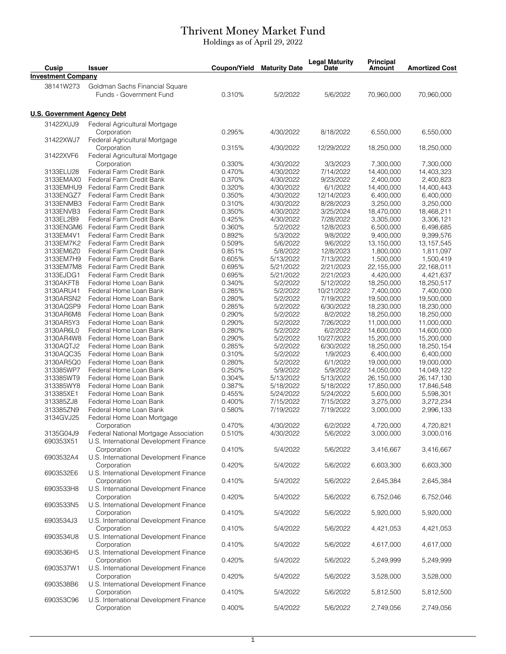## Thrivent Money Market Fund

Holdings as of April 29, 2022

| Cusip                              | <b>Issuer</b>                                         | Coupon/Yield     | <b>Maturity Date</b>   | <b>Legal Maturity</b><br><b>Date</b> | <b>Principal</b><br>Amount | <b>Amortized Cost</b>    |
|------------------------------------|-------------------------------------------------------|------------------|------------------------|--------------------------------------|----------------------------|--------------------------|
| <b>Investment Company</b>          |                                                       |                  |                        |                                      |                            |                          |
| 38141W273                          | Goldman Sachs Financial Square                        |                  |                        |                                      |                            |                          |
|                                    | Funds - Government Fund                               | 0.310%           | 5/2/2022               | 5/6/2022                             | 70,960,000                 | 70,960,000               |
|                                    |                                                       |                  |                        |                                      |                            |                          |
| <b>U.S. Government Agency Debt</b> |                                                       |                  |                        |                                      |                            |                          |
| 31422XUJ9                          | Federal Agricultural Mortgage<br>Corporation          | 0.295%           | 4/30/2022              | 8/18/2022                            | 6,550,000                  | 6,550,000                |
| 31422XWJ7                          | Federal Agricultural Mortgage                         |                  |                        |                                      |                            |                          |
|                                    | Corporation                                           | 0.315%           | 4/30/2022              | 12/29/2022                           | 18,250,000                 | 18,250,000               |
| 31422XVF6                          | Federal Agricultural Mortgage                         |                  |                        |                                      |                            |                          |
| 3133ELU28                          | Corporation<br>Federal Farm Credit Bank               | 0.330%<br>0.470% | 4/30/2022<br>4/30/2022 | 3/3/2023<br>7/14/2022                | 7,300,000<br>14,400,000    | 7,300,000<br>14,403,323  |
| 3133EMAX0                          | Federal Farm Credit Bank                              | 0.370%           | 4/30/2022              | 9/23/2022                            | 2,400,000                  | 2,400,823                |
| 3133EMHU9                          | Federal Farm Credit Bank                              | 0.320%           | 4/30/2022              | 6/1/2022                             | 14,400,000                 | 14,400,443               |
| 3133ENGZ7                          | Federal Farm Credit Bank                              | 0.350%           | 4/30/2022              | 12/14/2023                           | 6,400,000                  | 6,400,000                |
| 3133ENMB3                          | Federal Farm Credit Bank                              | 0.310%           | 4/30/2022              | 8/28/2023                            | 3,250,000                  | 3,250,000                |
| 3133ENVB3                          | Federal Farm Credit Bank                              | 0.350%           | 4/30/2022              | 3/25/2024                            | 18,470,000                 | 18,468,211               |
| 3133EL2B9                          | Federal Farm Credit Bank                              | 0.425%           | 4/30/2022              | 7/28/2022                            | 3,305,000                  | 3,306,121                |
| 3133ENGM6                          | Federal Farm Credit Bank                              | 0.360%           | 5/2/2022               | 12/8/2023                            | 6,500,000                  | 6,498,685                |
| 3133EM4V1                          | Federal Farm Credit Bank                              | 0.892%           | 5/3/2022               | 9/8/2022                             | 9,400,000                  | 9,399,576                |
| 3133EM7K2                          | Federal Farm Credit Bank                              | 0.509%           | 5/6/2022               | 9/6/2022                             | 13,150,000                 | 13, 157, 545             |
| 3133EM6Z0                          | Federal Farm Credit Bank                              | 0.851%           | 5/8/2022               | 12/8/2023                            | 1,800,000                  | 1,811,097                |
| 3133EM7H9                          | Federal Farm Credit Bank                              | 0.605%           | 5/13/2022              | 7/13/2022                            | 1,500,000                  | 1,500,419                |
| 3133EM7M8                          | Federal Farm Credit Bank                              | 0.695%           | 5/21/2022              | 2/21/2023                            | 22,155,000                 | 22,168,011               |
| 3133EJDG1                          | Federal Farm Credit Bank                              | 0.695%           | 5/21/2022              | 2/21/2023                            | 4,420,000                  | 4,421,637                |
| 3130AKFT8                          | Federal Home Loan Bank                                | 0.340%           | 5/2/2022               | 5/12/2022                            | 18,250,000                 | 18,250,517               |
| 3130ARU41                          | Federal Home Loan Bank                                | 0.285%           | 5/2/2022               | 10/21/2022                           | 7,400,000                  | 7,400,000                |
| 3130ARSN2                          | Federal Home Loan Bank                                | 0.280%           | 5/2/2022               | 7/19/2022                            | 19,500,000                 | 19,500,000               |
| 3130AQSP9                          | Federal Home Loan Bank                                | 0.285%           | 5/2/2022               | 6/30/2022                            | 18,230,000                 | 18,230,000               |
| 3130AR6M8<br>3130AR5Y3             | Federal Home Loan Bank<br>Federal Home Loan Bank      | 0.290%<br>0.290% | 5/2/2022<br>5/2/2022   | 8/2/2022<br>7/26/2022                | 18,250,000<br>11,000,000   | 18,250,000<br>11,000,000 |
| 3130AR6L0                          | Federal Home Loan Bank                                | 0.280%           | 5/2/2022               | 6/2/2022                             | 14,600,000                 | 14,600,000               |
| 3130AR4W8                          | Federal Home Loan Bank                                | 0.290%           | 5/2/2022               | 10/27/2022                           | 15,200,000                 | 15,200,000               |
| 3130AQTJ2                          | Federal Home Loan Bank                                | 0.285%           | 5/2/2022               | 6/30/2022                            | 18,250,000                 | 18,250,154               |
| 3130AQC35                          | Federal Home Loan Bank                                | 0.310%           | 5/2/2022               | 1/9/2023                             | 6,400,000                  | 6,400,000                |
| 3130AR5Q0                          | Federal Home Loan Bank                                | 0.280%           | 5/2/2022               | 6/1/2022                             | 19,000,000                 | 19,000,000               |
| 313385WP7                          | Federal Home Loan Bank                                | 0.250%           | 5/9/2022               | 5/9/2022                             | 14,050,000                 | 14,049,122               |
| 313385WT9                          | Federal Home Loan Bank                                | 0.304%           | 5/13/2022              | 5/13/2022                            | 26,150,000                 | 26, 147, 130             |
| 313385WY8                          | Federal Home Loan Bank                                | 0.387%           | 5/18/2022              | 5/18/2022                            | 17,850,000                 | 17,846,548               |
| 313385XE1                          | Federal Home Loan Bank                                | 0.455%           | 5/24/2022              | 5/24/2022                            | 5,600,000                  | 5,598,301                |
| 313385ZJ8                          | Federal Home Loan Bank                                | 0.400%           | 7/15/2022              | 7/15/2022                            | 3,275,000                  | 3,272,234                |
| 313385ZN9                          | Federal Home Loan Bank                                | 0.580%           | 7/19/2022              | 7/19/2022                            | 3,000,000                  | 2,996,133                |
| 3134GVJ25                          | Federal Home Loan Mortgage                            |                  |                        |                                      |                            |                          |
|                                    | Corporation                                           | 0.470%           | 4/30/2022              | 6/2/2022                             | 4,720,000                  | 4,720,821                |
| 3135G04J9                          | Federal National Mortgage Association                 | 0.510%           | 4/30/2022              | 5/6/2022                             | 3,000,000                  | 3,000,016                |
| 690353X51                          | U.S. International Development Finance                |                  |                        |                                      |                            |                          |
|                                    | Corporation                                           | 0.410%           | 5/4/2022               | 5/6/2022                             | 3,416,667                  | 3,416,667                |
| 6903532A4<br>6903532E6             | U.S. International Development Finance                |                  |                        |                                      |                            |                          |
|                                    | Corporation                                           | 0.420%           | 5/4/2022               | 5/6/2022                             | 6,603,300                  | 6,603,300                |
|                                    | U.S. International Development Finance<br>Corporation | 0.410%           | 5/4/2022               | 5/6/2022                             | 2,645,384                  | 2,645,384                |
| 6903533H8                          | U.S. International Development Finance                |                  |                        |                                      |                            |                          |
|                                    | Corporation                                           | 0.420%           | 5/4/2022               | 5/6/2022                             | 6,752,046                  | 6,752,046                |
| 6903533N5                          | U.S. International Development Finance                |                  |                        |                                      |                            |                          |
|                                    | Corporation                                           | 0.410%           | 5/4/2022               | 5/6/2022                             | 5,920,000                  | 5,920,000                |
| 6903534J3                          | U.S. International Development Finance                |                  |                        |                                      |                            |                          |
|                                    | Corporation                                           | 0.410%           | 5/4/2022               | 5/6/2022                             | 4,421,053                  | 4,421,053                |
| 6903534U8                          | U.S. International Development Finance                |                  |                        |                                      |                            |                          |
|                                    | Corporation                                           | 0.410%           | 5/4/2022               | 5/6/2022                             | 4,617,000                  | 4,617,000                |
| 6903536H5                          | U.S. International Development Finance                |                  |                        |                                      |                            |                          |
|                                    | Corporation                                           | 0.420%           | 5/4/2022               | 5/6/2022                             | 5,249,999                  | 5,249,999                |
| 6903537W1                          | U.S. International Development Finance                |                  |                        |                                      |                            |                          |
| 6903538B6                          | Corporation                                           | 0.420%           | 5/4/2022               | 5/6/2022                             | 3,528,000                  | 3,528,000                |
|                                    | U.S. International Development Finance                |                  |                        |                                      |                            |                          |
|                                    | Corporation                                           | 0.410%           | 5/4/2022               | 5/6/2022                             | 5,812,500                  | 5,812,500                |
| 690353C96                          | U.S. International Development Finance                |                  |                        |                                      |                            |                          |
|                                    | Corporation                                           | 0.400%           | 5/4/2022               | 5/6/2022                             | 2,749,056                  | 2,749,056                |